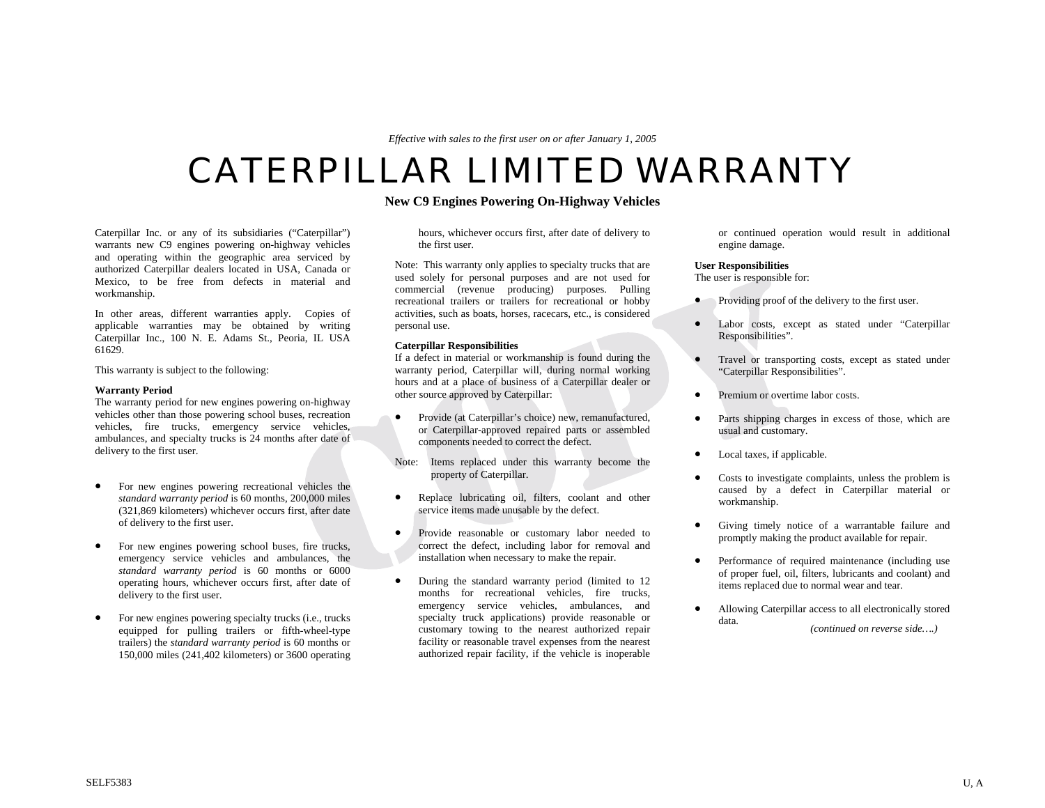*Effective with sales to the first user on or after January 1, 2005*

# CATERPILLAR LIMITED WARRANTY

## **New C9 Engines Powering On-Highway Vehicles**

Caterpillar Inc. or any of its subsidiaries ("Caterpillar") warrants new C9 engines powering on-highway vehicles and operating within the geographic area serviced by authorized Caterpillar dealers located in USA, Canada or Mexico, to be free from defects in material and workmanship.

In other areas, different warranties apply. Copies of applicable warranties may be obtained by writing Caterpillar Inc., 100 N. E. Adams St., Peoria, IL USA 61629.

This warranty is subject to the following:

#### **Warranty Period**

The warranty period for new engines powering on-highway vehicles other than those powering school buses, recreation vehicles, fire trucks, emergency service vehicles, ambulances, and specialty trucks is 24 months after date of delivery to the first user.

- For new engines powering recreational vehicles the *standard warranty period* is 60 months, 200,000 miles (321,869 kilometers) whichever occurs first, after date of delivery to the first user.
- For new engines powering school buses, fire trucks, emergency service vehicles and ambulances, the *standard warranty period* is 60 months or 6000 operating hours, whichever occurs first, after date of delivery to the first user.
- For new engines powering specialty trucks (i.e., trucks equipped for pulling trailers or fifth-wheel-type trailers) the *standard warranty period* is 60 months or 150,000 miles (241,402 kilometers) or 3600 operating

hours, whichever occurs first, after date of delivery to the first user.

Note: This warranty only applies to specialty trucks that are used solely for personal purposes and are not used for commercial (revenue producing) purposes. Pulling recreational trailers or trailers for recreational or hobby activities, such as boats, horses, racecars, etc., is considered personal use.

### **Caterpillar Responsibilities**

If a defect in material or workmanship is found during the warranty period, Caterpillar will, during normal working hours and at a place of business of a Caterpillar dealer or other source approved by Caterpillar:

• Provide (at Caterpillar's choice) new, remanufactured, or Caterpillar-approved repaired parts or assembled components needed to correct the defect.

Note: Items replaced under this warranty become the property of Caterpillar.

- Replace lubricating oil, filters, coolant and other service items made unusable by the defect.
- Provide reasonable or customary labor needed to correct the defect, including labor for removal and installation when necessary to make the repair.
- During the standard warranty period (limited to 12 months for recreational vehicles, fire trucks, emergency service vehicles, ambulances, and specialty truck applications) provide reasonable or customary towing to the nearest authorized repair facility or reasonable travel expenses from the nearest authorized repair facility, if the vehicle is inoperable

or continued operation would result in additional engine damage.

#### **User Responsibilities**

The user is responsible for:

- Providing proof of the delivery to the first user.
- Labor costs, except as stated under "Caterpillar Responsibilities".
- Travel or transporting costs, except as stated under "Caterpillar Responsibilities".
- Premium or overtime labor costs.
- Parts shipping charges in excess of those, which are usual and customary.
- Local taxes, if applicable.
- Costs to investigate complaints, unless the problem is caused by a defect in Caterpillar material or workmanship.
- Giving timely notice of a warrantable failure and promptly making the product available for repair.
- Performance of required maintenance (including use of proper fuel, oil, filters, lubricants and coolant) and items replaced due to normal wear and tear.
- Allowing Caterpillar access to all electronically stored data. *(continued on reverse side….)*